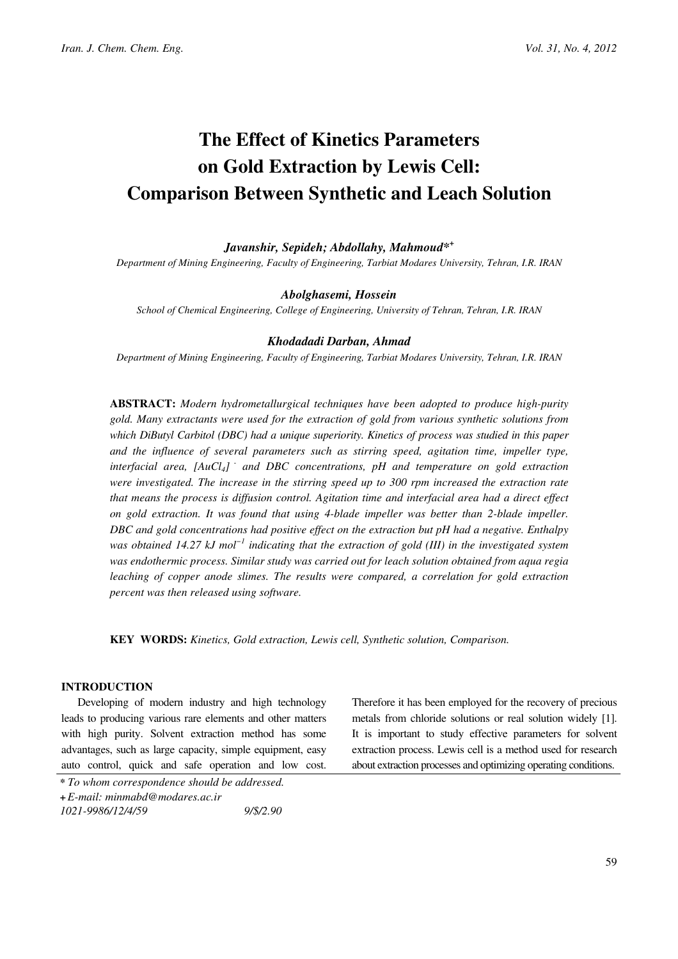# The Effect of Kinetics Parameters on Gold Extraction by Lewis Cell: Comparison Between Synthetic and Leach Solution

# Javanshir, Sepideh; Abdollahy, Mahmoud<sup>\*+</sup>

Department of Mining Engineering, Faculty of Engineering, Tarbiat Modares University, Tehran, I.R. IRAN

## Abolghasemi, Hossein

School of Chemical Engineering, College of Engineering, University of Tehran, Tehran, I.R. IRAN

# Khodadadi Darban, Ahmad

Department of Mining Engineering, Faculty of Engineering, Tarbiat Modares University, Tehran, I.R. IRAN

ABSTRACT: Modern hydrometallurgical techniques have been adopted to produce high-purity gold. Many extractants were used for the extraction of gold from various synthetic solutions from which DiButyl Carbitol (DBC) had a unique superiority. Kinetics of process was studied in this paper and the influence of several parameters such as stirring speed, agitation time, impeller type, interfacial area,  $[AuCl_4]$  and DBC concentrations, pH and temperature on gold extraction were investigated. The increase in the stirring speed up to 300 rpm increased the extraction rate that means the process is diffusion control. Agitation time and interfacial area had a direct effect on gold extraction. It was found that using 4-blade impeller was better than 2-blade impeller. DBC and gold concentrations had positive effect on the extraction but pH had a negative. Enthalpy was obtained 14.27 kJ mol<sup>-1</sup> indicating that the extraction of gold (III) in the investigated system was endothermic process. Similar study was carried out for leach solution obtained from aqua regia leaching of copper anode slimes. The results were compared, a correlation for gold extraction percent was then released using software.

KEY WORDS: Kinetics, Gold extraction, Lewis cell, Synthetic solution, Comparison.

### INTRODUCTION

Developing of modern industry and high technology leads to producing various rare elements and other matters with high purity. Solvent extraction method has some advantages, such as large capacity, simple equipment, easy auto control, quick and safe operation and low cost. Therefore it has been employed for the recovery of precious metals from chloride solutions or real solution widely [1]. It is important to study effective parameters for solvent extraction process. Lewis cell is a method used for research about extraction processes and optimizing operating conditions.

<sup>\*</sup> To whom correspondence should be addressed. +E-mail: minmabd@modares.ac.ir 1021-9986/12/4/59 9/\$/2.90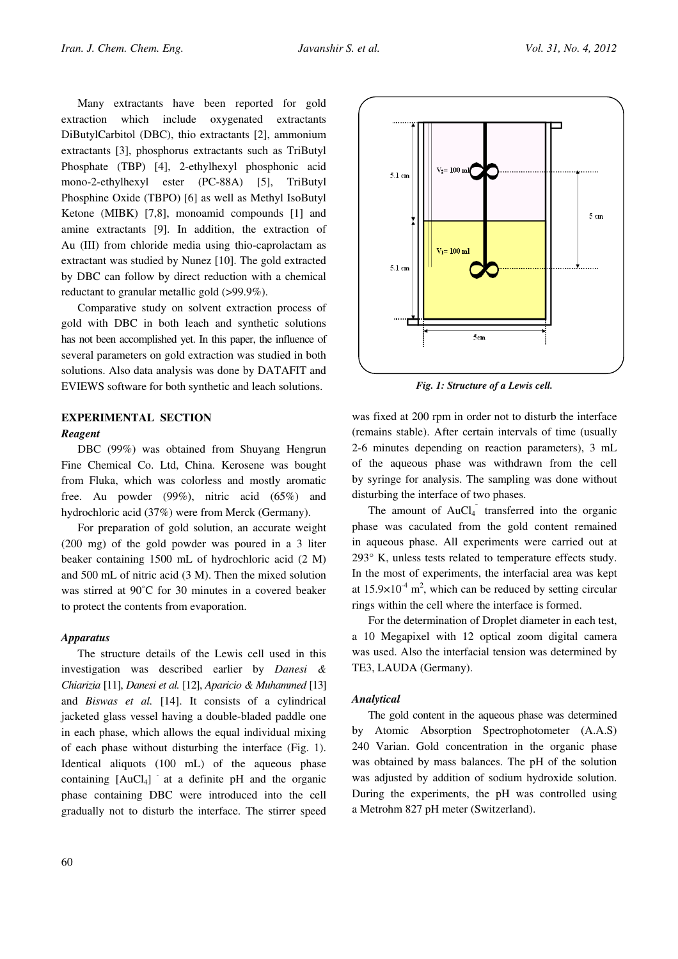Many extractants have been reported for gold extraction which include oxygenated extractants DiButylCarbitol (DBC), thio extractants [2], ammonium extractants [3], phosphorus extractants such as TriButyl Phosphate (TBP) [4], 2-ethylhexyl phosphonic acid mono-2-ethylhexyl ester (PC-88A) [5], TriButyl Phosphine Oxide (TBPO) [6] as well as Methyl IsoButyl Ketone (MIBK) [7,8], monoamid compounds [1] and amine extractants [9]. In addition, the extraction of Au (III) from chloride media using thio-caprolactam as extractant was studied by Nunez [10]. The gold extracted by DBC can follow by direct reduction with a chemical reductant to granular metallic gold (>99.9%).

Comparative study on solvent extraction process of gold with DBC in both leach and synthetic solutions has not been accomplished yet. In this paper, the influence of several parameters on gold extraction was studied in both solutions. Also data analysis was done by DATAFIT and EVIEWS software for both synthetic and leach solutions.

# EXPERIMENTAL SECTION

#### Reagent

DBC (99%) was obtained from Shuyang Hengrun Fine Chemical Co. Ltd, China. Kerosene was bought from Fluka, which was colorless and mostly aromatic free. Au powder (99%), nitric acid (65%) and hydrochloric acid (37%) were from Merck (Germany).

For preparation of gold solution, an accurate weight (200 mg) of the gold powder was poured in a 3 liter beaker containing 1500 mL of hydrochloric acid (2 M) and 500 mL of nitric acid (3 M). Then the mixed solution was stirred at 90˚C for 30 minutes in a covered beaker to protect the contents from evaporation.

#### Apparatus

The structure details of the Lewis cell used in this investigation was described earlier by Danesi & Chiarizia [11], Danesi et al. [12], Aparicio & Muhammed [13] and Biswas et al. [14]. It consists of a cylindrical jacketed glass vessel having a double-bladed paddle one in each phase, which allows the equal individual mixing of each phase without disturbing the interface (Fig. 1). Identical aliquots (100 mL) of the aqueous phase containing  $[AuCl<sub>4</sub>]$  at a definite pH and the organic phase containing DBC were introduced into the cell gradually not to disturb the interface. The stirrer speed



Fig. 1: Structure of a Lewis cell.

was fixed at 200 rpm in order not to disturb the interface (remains stable). After certain intervals of time (usually 2-6 minutes depending on reaction parameters), 3 mL of the aqueous phase was withdrawn from the cell by syringe for analysis. The sampling was done without disturbing the interface of two phases.

The amount of  $AuCl<sub>4</sub>$  transferred into the organic phase was caculated from the gold content remained in aqueous phase. All experiments were carried out at 293° K, unless tests related to temperature effects study. In the most of experiments, the interfacial area was kept at  $15.9 \times 10^{-4}$  m<sup>2</sup>, which can be reduced by setting circular rings within the cell where the interface is formed.

For the determination of Droplet diameter in each test, a 10 Megapixel with 12 optical zoom digital camera was used. Also the interfacial tension was determined by TE3, LAUDA (Germany).

#### Analytical

The gold content in the aqueous phase was determined by Atomic Absorption Spectrophotometer (A.A.S) 240 Varian. Gold concentration in the organic phase was obtained by mass balances. The pH of the solution was adjusted by addition of sodium hydroxide solution. During the experiments, the pH was controlled using a Metrohm 827 pH meter (Switzerland).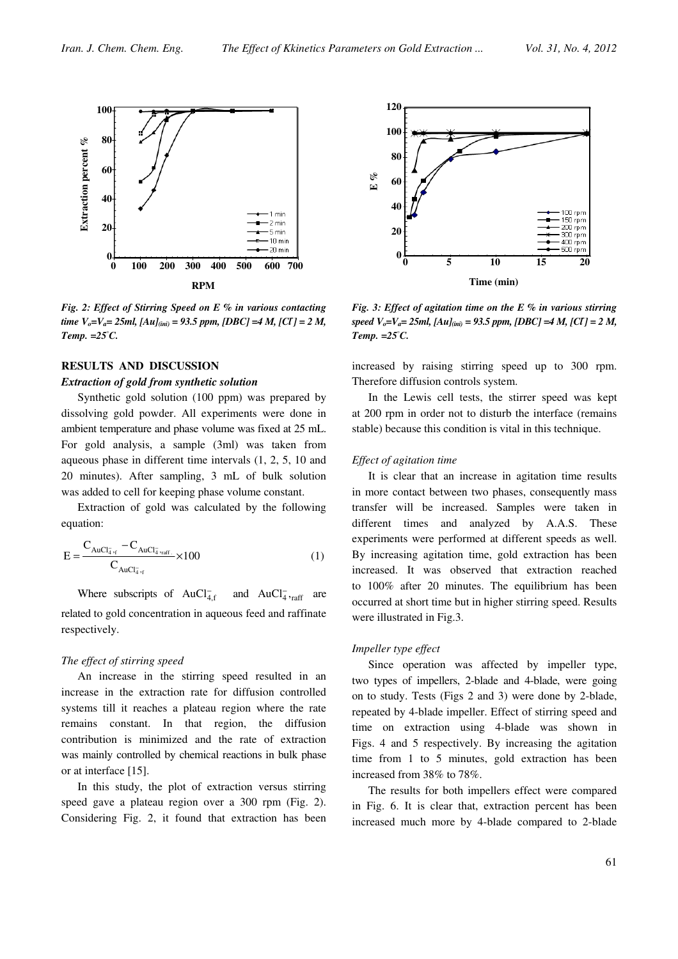

Fig. 2: Effect of Stirring Speed on E  $%$  in various contacting time  $V_o = V_a = 25ml$ ,  $[Au]_{(ini)} = 93.5$  ppm,  $[DBC] = 4 M$ ,  $[CI] = 2 M$ , Temp.  $=25^{\circ}C$ .

## RESULTS AND DISCUSSION

#### Extraction of gold from synthetic solution

Synthetic gold solution (100 ppm) was prepared by dissolving gold powder. All experiments were done in ambient temperature and phase volume was fixed at 25 mL. For gold analysis, a sample (3ml) was taken from aqueous phase in different time intervals (1, 2, 5, 10 and 20 minutes). After sampling, 3 mL of bulk solution was added to cell for keeping phase volume constant.

Extraction of gold was calculated by the following equation:

$$
E = \frac{C_{AuCl_{4,r}} - C_{AuCl_{4\gamma n}^{+}} - 100}{C_{AuCl_{4\gamma}^{+}} \times 100}
$$
 (1)

Where subscripts of  $AuCl<sub>4,f</sub>$ and  $AuCl<sub>4</sub><sup>-</sup>,<sub>raff</sub>$  are related to gold concentration in aqueous feed and raffinate respectively.

#### The effect of stirring speed

An increase in the stirring speed resulted in an increase in the extraction rate for diffusion controlled systems till it reaches a plateau region where the rate remains constant. In that region, the diffusion contribution is minimized and the rate of extraction was mainly controlled by chemical reactions in bulk phase or at interface [15].

In this study, the plot of extraction versus stirring speed gave a plateau region over a 300 rpm (Fig. 2). Considering Fig. 2, it found that extraction has been



Fig. 3: Effect of agitation time on the E  $%$  in various stirring speed  $V_o = V_a = 25ml$ ,  $[Au]_{(ini)} = 93.5$  ppm,  $[DBC] = 4 M$ ,  $[CI] = 2 M$ , Temp.  $=25^{\circ}C$ .

increased by raising stirring speed up to 300 rpm. Therefore diffusion controls system.

In the Lewis cell tests, the stirrer speed was kept at 200 rpm in order not to disturb the interface (remains stable) because this condition is vital in this technique.

#### Effect of agitation time

It is clear that an increase in agitation time results in more contact between two phases, consequently mass transfer will be increased. Samples were taken in different times and analyzed by A.A.S. These experiments were performed at different speeds as well. By increasing agitation time, gold extraction has been increased. It was observed that extraction reached to 100% after 20 minutes. The equilibrium has been occurred at short time but in higher stirring speed. Results were illustrated in Fig.3.

#### Impeller type effect

Since operation was affected by impeller type, two types of impellers, 2-blade and 4-blade, were going on to study. Tests (Figs 2 and 3) were done by 2-blade, repeated by 4-blade impeller. Effect of stirring speed and time on extraction using 4-blade was shown in Figs. 4 and 5 respectively. By increasing the agitation time from 1 to 5 minutes, gold extraction has been increased from 38% to 78%.

The results for both impellers effect were compared in Fig. 6. It is clear that, extraction percent has been increased much more by 4-blade compared to 2-blade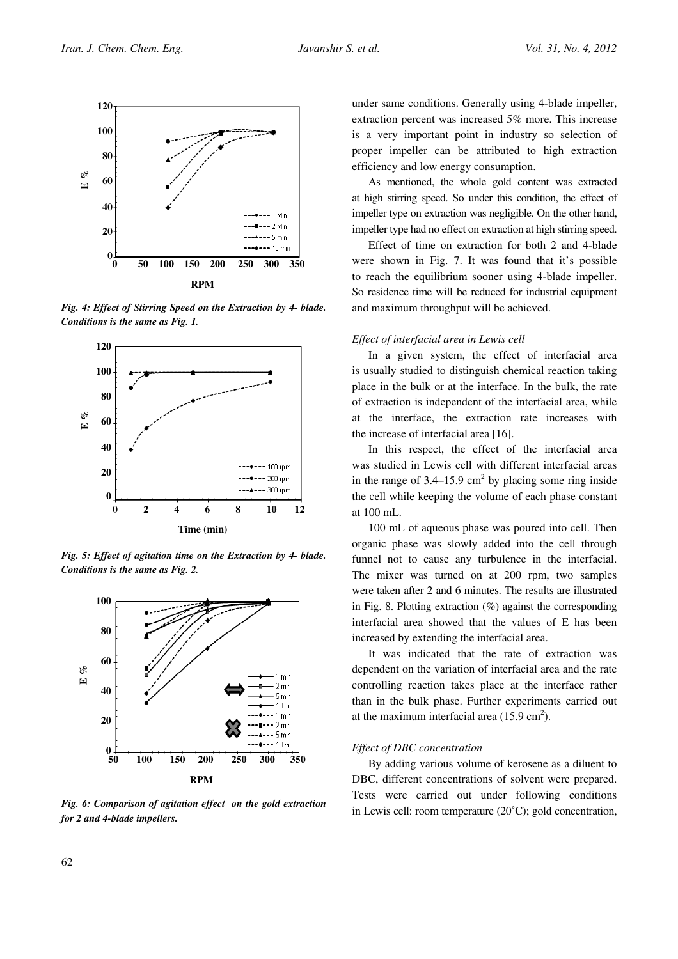

Fig. 4: Effect of Stirring Speed on the Extraction by 4- blade. Conditions is the same as Fig. 1.



Fig. 5: Effect of agitation time on the Extraction by 4- blade. Conditions is the same as Fig. 2.



Fig. 6: Comparison of agitation effect on the gold extraction for 2 and 4-blade impellers.

under same conditions. Generally using 4-blade impeller, extraction percent was increased 5% more. This increase is a very important point in industry so selection of proper impeller can be attributed to high extraction efficiency and low energy consumption.

As mentioned, the whole gold content was extracted at high stirring speed. So under this condition, the effect of impeller type on extraction was negligible. On the other hand, impeller type had no effect on extraction at high stirring speed.

Effect of time on extraction for both 2 and 4-blade were shown in Fig. 7. It was found that it's possible to reach the equilibrium sooner using 4-blade impeller. So residence time will be reduced for industrial equipment and maximum throughput will be achieved.

#### Effect of interfacial area in Lewis cell

In a given system, the effect of interfacial area is usually studied to distinguish chemical reaction taking place in the bulk or at the interface. In the bulk, the rate of extraction is independent of the interfacial area, while at the interface, the extraction rate increases with the increase of interfacial area [16].

In this respect, the effect of the interfacial area was studied in Lewis cell with different interfacial areas in the range of  $3.4-15.9$  cm<sup>2</sup> by placing some ring inside the cell while keeping the volume of each phase constant at 100 mL.

100 mL of aqueous phase was poured into cell. Then organic phase was slowly added into the cell through funnel not to cause any turbulence in the interfacial. The mixer was turned on at 200 rpm, two samples were taken after 2 and 6 minutes. The results are illustrated in Fig. 8. Plotting extraction  $(\%)$  against the corresponding interfacial area showed that the values of E has been increased by extending the interfacial area.

It was indicated that the rate of extraction was dependent on the variation of interfacial area and the rate controlling reaction takes place at the interface rather than in the bulk phase. Further experiments carried out at the maximum interfacial area  $(15.9 \text{ cm}^2)$ .

#### Effect of DBC concentration

By adding various volume of kerosene as a diluent to DBC, different concentrations of solvent were prepared. Tests were carried out under following conditions in Lewis cell: room temperature (20˚C); gold concentration,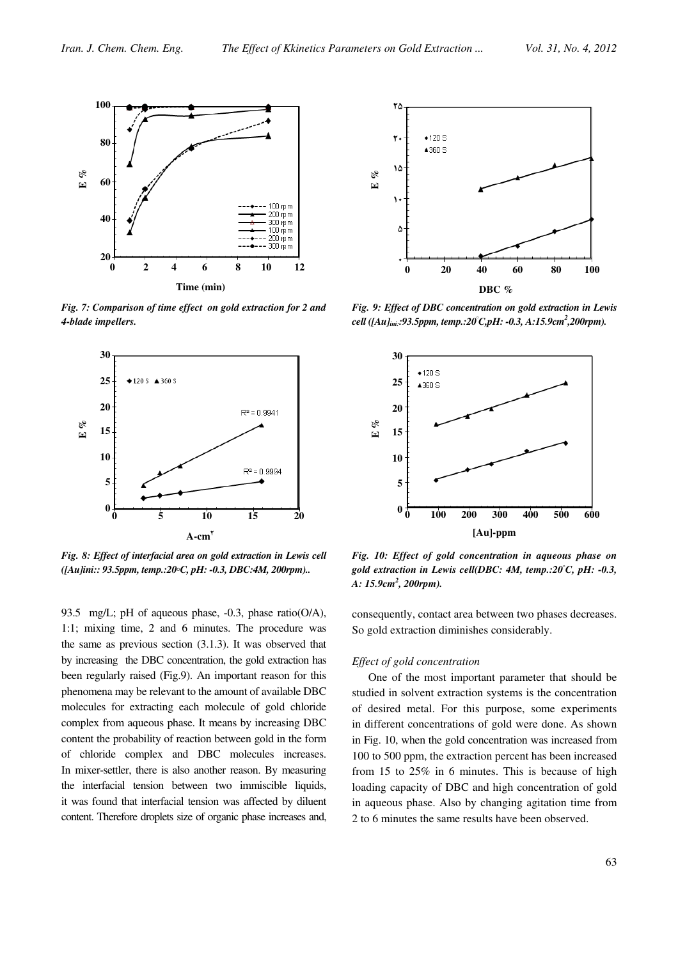

Fig. 7: Comparison of time effect on gold extraction for 2 and 4-blade impellers.



Fig. 8: Effect of interfacial area on gold extraction in Lewis cell  $(IAu|ini:: 93.5ppm, temp.:20°C, pH: -0.3, DBC:4M, 200rpm).$ 

93.5 mg/L; pH of aqueous phase, -0.3, phase ratio(O/A), 1:1; mixing time, 2 and 6 minutes. The procedure was the same as previous section (3.1.3). It was observed that by increasing the DBC concentration, the gold extraction has been regularly raised (Fig.9). An important reason for this phenomena may be relevant to the amount of available DBC molecules for extracting each molecule of gold chloride complex from aqueous phase. It means by increasing DBC content the probability of reaction between gold in the form of chloride complex and DBC molecules increases. In mixer-settler, there is also another reason. By measuring the interfacial tension between two immiscible liquids, it was found that interfacial tension was affected by diluent content. Therefore droplets size of organic phase increases and,



Fig. 9: Effect of DBC concentration on gold extraction in Lewis cell ([Au]<sub>ini:</sub>:93.5ppm, temp.:20°C,pH: -0.3, A:15.9cm<sup>2</sup>,200rpm).



Fig. 10: Effect of gold concentration in aqueous phase on gold extraction in Lewis cell(DBC:  $4M$ , temp.:20°C, pH: -0.3, A: 15.9cm<sup>2</sup>, 200rpm).

consequently, contact area between two phases decreases. So gold extraction diminishes considerably.

## Effect of gold concentration

One of the most important parameter that should be studied in solvent extraction systems is the concentration of desired metal. For this purpose, some experiments in different concentrations of gold were done. As shown in Fig. 10, when the gold concentration was increased from 100 to 500 ppm, the extraction percent has been increased from 15 to 25% in 6 minutes. This is because of high loading capacity of DBC and high concentration of gold in aqueous phase. Also by changing agitation time from 2 to 6 minutes the same results have been observed.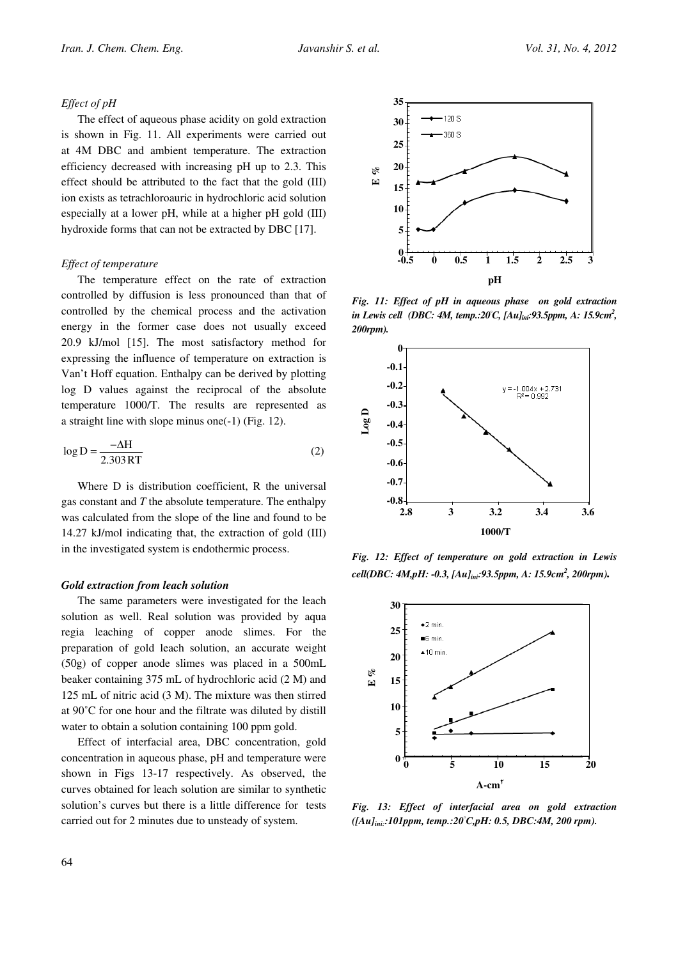#### Effect of pH

The effect of aqueous phase acidity on gold extraction is shown in Fig. 11. All experiments were carried out at 4M DBC and ambient temperature. The extraction efficiency decreased with increasing pH up to 2.3. This effect should be attributed to the fact that the gold (III) ion exists as tetrachloroauric in hydrochloric acid solution especially at a lower pH, while at a higher pH gold (III) hydroxide forms that can not be extracted by DBC [17].

#### Effect of temperature

The temperature effect on the rate of extraction controlled by diffusion is less pronounced than that of controlled by the chemical process and the activation energy in the former case does not usually exceed 20.9 kJ/mol [15]. The most satisfactory method for expressing the influence of temperature on extraction is Van't Hoff equation. Enthalpy can be derived by plotting log D values against the reciprocal of the absolute temperature 1000/T. The results are represented as a straight line with slope minus one(-1) (Fig. 12).

$$
\log D = \frac{-\Delta H}{2.303 RT}
$$
 (2)

Where D is distribution coefficient, R the universal gas constant and  $T$  the absolute temperature. The enthalpy was calculated from the slope of the line and found to be 14.27 kJ/mol indicating that, the extraction of gold (III) in the investigated system is endothermic process.

#### Gold extraction from leach solution

The same parameters were investigated for the leach solution as well. Real solution was provided by aqua regia leaching of copper anode slimes. For the preparation of gold leach solution, an accurate weight (50g) of copper anode slimes was placed in a 500mL beaker containing 375 mL of hydrochloric acid (2 M) and 125 mL of nitric acid (3 M). The mixture was then stirred at 90˚C for one hour and the filtrate was diluted by distill water to obtain a solution containing 100 ppm gold.

Effect of interfacial area, DBC concentration, gold concentration in aqueous phase, pH and temperature were shown in Figs 13-17 respectively. As observed, the curves obtained for leach solution are similar to synthetic solution's curves but there is a little difference for tests carried out for 2 minutes due to unsteady of system.



Fig. 11: Effect of pH in aqueous phase on gold extraction in Lewis cell (DBC: 4M, temp.:20°C, [Au]<sub>ini</sub>:93.5ppm, A: 15.9cm<sup>2</sup>, 200rpm).



Fig. 12: Effect of temperature on gold extraction in Lewis cell(DBC: 4M,pH: -0.3, [Au]<sub>ini</sub>:93.5ppm, A: 15.9cm<sup>2</sup>, 200rpm)**.** 



Fig. 13: Effect of interfacial area on gold extraction  $([Au]_{ini}:101ppm, temp.:20°C, pH: 0.5, DBC:4M, 200 rpm).$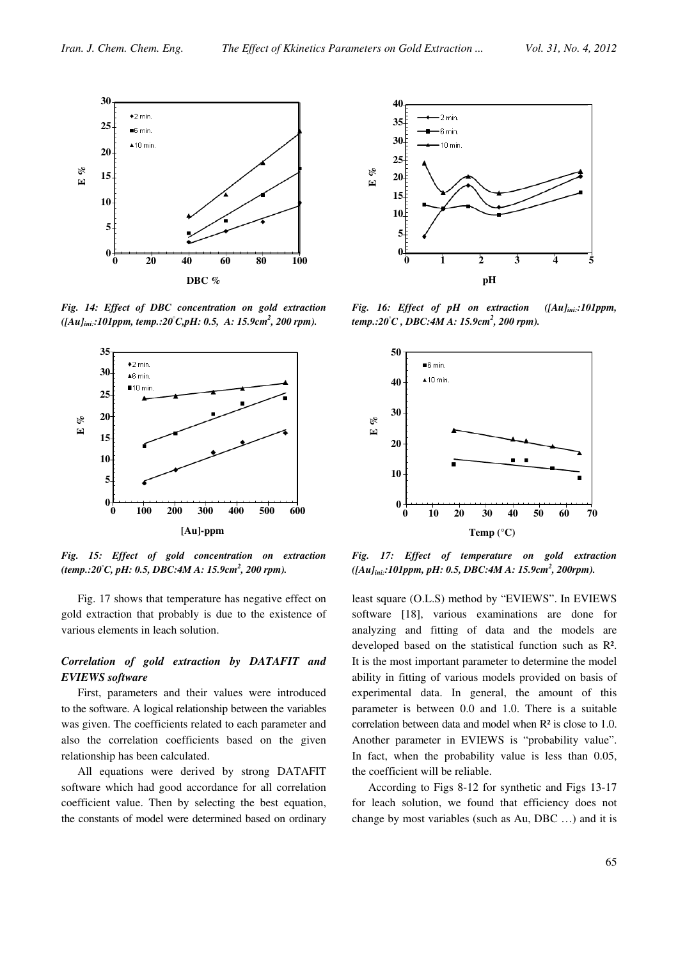

Fig. 14: Effect of DBC concentration on gold extraction  $([Au]_{ini}: 101 ppm, temp.: 20^{\circ}C, pH: 0.5, A: 15.9 cm^2, 200 rpm).$ 



Fig. 15: Effect of gold concentration on extraction  $(temp.:20^{\circ}C, pH: 0.5, DBC:4MA: 15.9cm^2, 200 rpm).$ 

Fig. 17 shows that temperature has negative effect on gold extraction that probably is due to the existence of various elements in leach solution.

# Correlation of gold extraction by DATAFIT and EVIEWS software

First, parameters and their values were introduced to the software. A logical relationship between the variables was given. The coefficients related to each parameter and also the correlation coefficients based on the given relationship has been calculated.

All equations were derived by strong DATAFIT software which had good accordance for all correlation coefficient value. Then by selecting the best equation, the constants of model were determined based on ordinary



Fig. 16: Effect of pH on extraction  $([Au]_{ini}:101$ ppm, temp.:20°C, DBC:4M A: 15.9cm<sup>2</sup>, 200 rpm).



Fig. 17: Effect of temperature on gold extraction ([Au]<sub>ini:</sub>:101ppm, pH: 0.5, DBC:4M A: 15.9cm<sup>2</sup>, 200rpm).

least square (O.L.S) method by "EVIEWS". In EVIEWS software [18], various examinations are done for analyzing and fitting of data and the models are developed based on the statistical function such as R². It is the most important parameter to determine the model ability in fitting of various models provided on basis of experimental data. In general, the amount of this parameter is between 0.0 and 1.0. There is a suitable correlation between data and model when R² is close to 1.0. Another parameter in EVIEWS is "probability value". In fact, when the probability value is less than 0.05, the coefficient will be reliable.

According to Figs 8-12 for synthetic and Figs 13-17 for leach solution, we found that efficiency does not change by most variables (such as Au, DBC …) and it is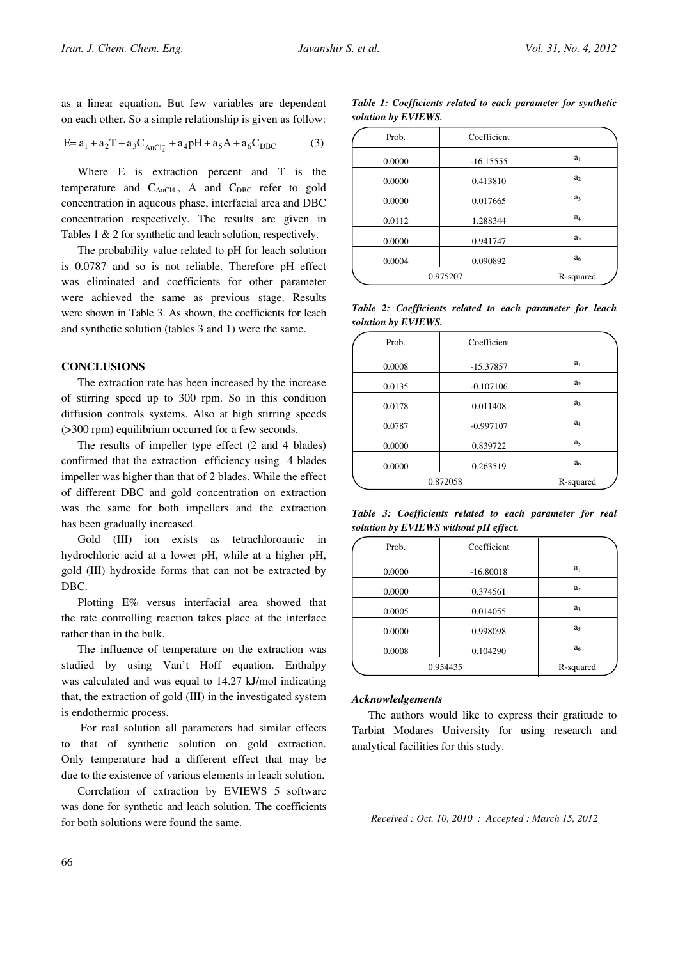as a linear equation. But few variables are dependent on each other. So a simple relationship is given as follow:

$$
E = a_1 + a_2T + a_3C_{AuCl_4^-} + a_4pH + a_5A + a_6C_{DBC}
$$
 (3)

Where E is extraction percent and T is the temperature and  $C_{AuCl4}$ , A and  $C_{DBC}$  refer to gold concentration in aqueous phase, interfacial area and DBC concentration respectively. The results are given in Tables 1 & 2 for synthetic and leach solution, respectively.

The probability value related to pH for leach solution is 0.0787 and so is not reliable. Therefore pH effect was eliminated and coefficients for other parameter were achieved the same as previous stage. Results were shown in Table 3. As shown, the coefficients for leach and synthetic solution (tables 3 and 1) were the same.

#### **CONCLUSIONS**

The extraction rate has been increased by the increase of stirring speed up to 300 rpm. So in this condition diffusion controls systems. Also at high stirring speeds (>300 rpm) equilibrium occurred for a few seconds.

The results of impeller type effect (2 and 4 blades) confirmed that the extraction efficiency using 4 blades impeller was higher than that of 2 blades. While the effect of different DBC and gold concentration on extraction was the same for both impellers and the extraction has been gradually increased.

Gold (III) ion exists as tetrachloroauric in hydrochloric acid at a lower pH, while at a higher pH, gold (III) hydroxide forms that can not be extracted by DBC.

Plotting E% versus interfacial area showed that the rate controlling reaction takes place at the interface rather than in the bulk.

The influence of temperature on the extraction was studied by using Van't Hoff equation. Enthalpy was calculated and was equal to 14.27 kJ/mol indicating that, the extraction of gold (III) in the investigated system is endothermic process.

 For real solution all parameters had similar effects to that of synthetic solution on gold extraction. Only temperature had a different effect that may be due to the existence of various elements in leach solution.

Correlation of extraction by EVIEWS 5 software was done for synthetic and leach solution. The coefficients for both solutions were found the same.

Table 1: Coefficients related to each parameter for synthetic solution by EVIEWS.

| Prob.    | Coefficient |                |
|----------|-------------|----------------|
| 0.0000   | $-16.15555$ | $a_1$          |
| 0.0000   | 0.413810    | a <sub>2</sub> |
| 0.0000   | 0.017665    | a <sub>3</sub> |
| 0.0112   | 1.288344    | $a_4$          |
| 0.0000   | 0.941747    | a <sub>5</sub> |
| 0.0004   | 0.090892    | a <sub>6</sub> |
| 0.975207 |             | R-squared      |
|          |             |                |

Table 2: Coefficients related to each parameter for leach solution by EVIEWS.

| Prob.    | Coefficient |                |
|----------|-------------|----------------|
| 0.0008   | $-15.37857$ | $a_1$          |
| 0.0135   | $-0.107106$ | a <sub>2</sub> |
| 0.0178   | 0.011408    | a <sub>3</sub> |
| 0.0787   | $-0.997107$ | $a_4$          |
| 0.0000   | 0.839722    | a,             |
| 0.0000   | 0.263519    | a <sub>6</sub> |
| 0.872058 |             | R-squared      |

Table 3: Coefficients related to each parameter for real solution by EVIEWS without pH effect.

| Prob.    | Coefficient |                |
|----------|-------------|----------------|
| 0.0000   | $-16.80018$ | $a_1$          |
| 0.0000   | 0.374561    | a <sub>2</sub> |
| 0.0005   | 0.014055    | a <sub>3</sub> |
| 0.0000   | 0.998098    | a <sub>5</sub> |
| 0.0008   | 0.104290    | a <sub>6</sub> |
| 0.954435 | R-squared   |                |

#### Acknowledgements

The authors would like to express their gratitude to Tarbiat Modares University for using research and analytical facilities for this study.

Received : Oct. 10, 2010 ; Accepted : March 15, 2012